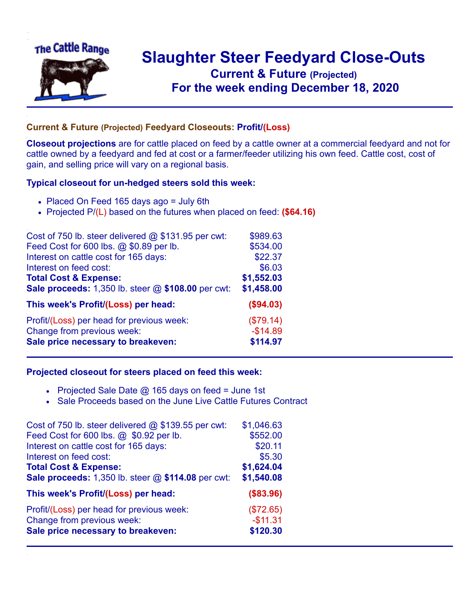

## **Slaughter Steer Feedyard Close-Outs Current & Future (Projected)** .**For the week ending December 18, 2020**

## **Current & Future (Projected) Feedyard Closeouts: Profit/(Loss)**

**Closeout projections** are for cattle placed on feed by a cattle owner at a commercial feedyard and not for cattle owned by a feedyard and fed at cost or a farmer/feeder utilizing his own feed. Cattle cost, cost of gain, and selling price will vary on a regional basis.

## **Typical closeout for un-hedged steers sold this week:**

- Placed On Feed 165 days ago = July 6th
- Projected P/(L) based on the futures when placed on feed: **(\$64.16)**

| Cost of 750 lb. steer delivered @ \$131.95 per cwt: | \$989.63   |
|-----------------------------------------------------|------------|
| Feed Cost for 600 lbs. @ \$0.89 per lb.             | \$534.00   |
| Interest on cattle cost for 165 days:               | \$22.37    |
| Interest on feed cost:                              | \$6.03     |
| <b>Total Cost &amp; Expense:</b>                    | \$1,552.03 |
| Sale proceeds: 1,350 lb. steer @ \$108.00 per cwt:  | \$1,458.00 |
| This week's Profit/(Loss) per head:                 | (\$94.03)  |
| Profit/(Loss) per head for previous week:           | (\$79.14)  |
| Change from previous week:                          | $-$14.89$  |
| Sale price necessary to breakeven:                  | \$114.97   |

## **Projected closeout for steers placed on feed this week:**

- Projected Sale Date  $@$  165 days on feed = June 1st
- Sale Proceeds based on the June Live Cattle Futures Contract

| Cost of 750 lb. steer delivered $@$ \$139.55 per cwt: | \$1,046.63 |
|-------------------------------------------------------|------------|
| Feed Cost for 600 lbs. @ \$0.92 per lb.               | \$552.00   |
| Interest on cattle cost for 165 days:                 | \$20.11    |
| Interest on feed cost:                                | \$5.30     |
| <b>Total Cost &amp; Expense:</b>                      | \$1,624.04 |
| Sale proceeds: 1,350 lb. steer @ \$114.08 per cwt:    | \$1,540.08 |
| This week's Profit/(Loss) per head:                   | (\$83.96)  |
| Profit/(Loss) per head for previous week:             | (\$72.65)  |
| Change from previous week:                            | $-$11.31$  |
| Sale price necessary to breakeven:                    | \$120.30   |